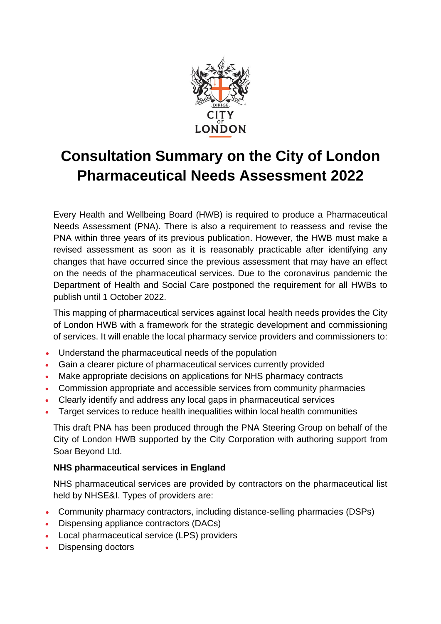

## **Consultation Summary on the City of London Pharmaceutical Needs Assessment 2022**

Every Health and Wellbeing Board (HWB) is required to produce a Pharmaceutical Needs Assessment (PNA). There is also a requirement to reassess and revise the PNA within three years of its previous publication. However, the HWB must make a revised assessment as soon as it is reasonably practicable after identifying any changes that have occurred since the previous assessment that may have an effect on the needs of the pharmaceutical services. Due to the coronavirus pandemic the Department of Health and Social Care postponed the requirement for all HWBs to publish until 1 October 2022.

This mapping of pharmaceutical services against local health needs provides the City of London HWB with a framework for the strategic development and commissioning of services. It will enable the local pharmacy service providers and commissioners to:

- Understand the pharmaceutical needs of the population
- Gain a clearer picture of pharmaceutical services currently provided
- Make appropriate decisions on applications for NHS pharmacy contracts
- Commission appropriate and accessible services from community pharmacies
- Clearly identify and address any local gaps in pharmaceutical services
- Target services to reduce health inequalities within local health communities

This draft PNA has been produced through the PNA Steering Group on behalf of the City of London HWB supported by the City Corporation with authoring support from Soar Beyond Ltd.

## **NHS pharmaceutical services in England**

NHS pharmaceutical services are provided by contractors on the pharmaceutical list held by NHSE&I. Types of providers are:

- Community pharmacy contractors, including distance-selling pharmacies (DSPs)
- Dispensing appliance contractors (DACs)
- Local pharmaceutical service (LPS) providers
- Dispensing doctors